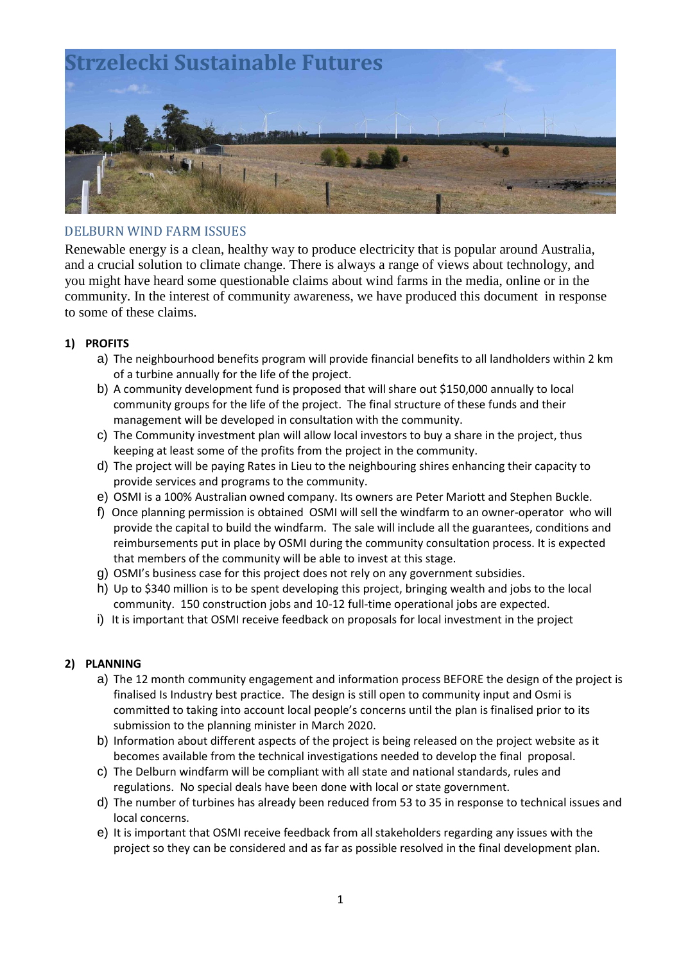

# DELBURN WIND FARM ISSUES

Renewable energy is a clean, healthy way to produce electricity that is popular around Australia, and a crucial solution to climate change. There is always a range of views about technology, and you might have heard some questionable claims about wind farms in the media, online or in the community. In the interest of community awareness, we have produced this document in response to some of these claims.

## **1) PROFITS**

- a) The neighbourhood benefits program will provide financial benefits to all landholders within 2 km of a turbine annually for the life of the project.
- b) A community development fund is proposed that will share out \$150,000 annually to local community groups for the life of the project. The final structure of these funds and their management will be developed in consultation with the community.
- c) The Community investment plan will allow local investors to buy a share in the project, thus keeping at least some of the profits from the project in the community.
- d) The project will be paying Rates in Lieu to the neighbouring shires enhancing their capacity to provide services and programs to the community.
- e) OSMI is a 100% Australian owned company. Its owners are Peter Mariott and Stephen Buckle.
- f) Once planning permission is obtained OSMI will sell the windfarm to an owner-operator who will provide the capital to build the windfarm. The sale will include all the guarantees, conditions and reimbursements put in place by OSMI during the community consultation process. It is expected that members of the community will be able to invest at this stage.
- g) OSMI's business case for this project does not rely on any government subsidies.
- h) Up to \$340 million is to be spent developing this project, bringing wealth and jobs to the local community. 150 construction jobs and 10-12 full-time operational jobs are expected.
- i) It is important that OSMI receive feedback on proposals for local investment in the project

### **2) PLANNING**

- a) The 12 month community engagement and information process BEFORE the design of the project is finalised Is Industry best practice. The design is still open to community input and Osmi is committed to taking into account local people's concerns until the plan is finalised prior to its submission to the planning minister in March 2020.
- b) Information about different aspects of the project is being released on the project website as it becomes available from the technical investigations needed to develop the final proposal.
- c) The Delburn windfarm will be compliant with all state and national standards, rules and regulations. No special deals have been done with local or state government.
- d) The number of turbines has already been reduced from 53 to 35 in response to technical issues and local concerns.
- e) It is important that OSMI receive feedback from all stakeholders regarding any issues with the project so they can be considered and as far as possible resolved in the final development plan.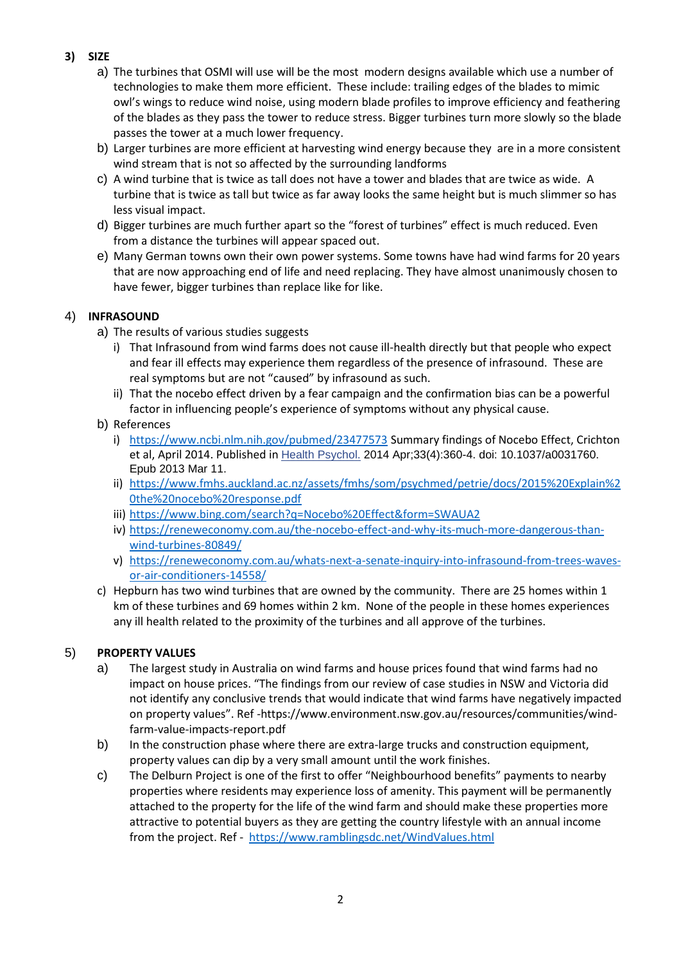# **3) SIZE**

- a) The turbines that OSMI will use will be the most modern designs available which use a number of technologies to make them more efficient. These include: trailing edges of the blades to mimic owl's wings to reduce wind noise, using modern blade profiles to improve efficiency and feathering of the blades as they pass the tower to reduce stress. Bigger turbines turn more slowly so the blade passes the tower at a much lower frequency.
- b) Larger turbines are more efficient at harvesting wind energy because they are in a more consistent wind stream that is not so affected by the surrounding landforms
- c) A wind turbine that is twice as tall does not have a tower and blades that are twice as wide. A turbine that is twice as tall but twice as far away looks the same height but is much slimmer so has less visual impact.
- d) Bigger turbines are much further apart so the "forest of turbines" effect is much reduced. Even from a distance the turbines will appear spaced out.
- e) Many German towns own their own power systems. Some towns have had wind farms for 20 years that are now approaching end of life and need replacing. They have almost unanimously chosen to have fewer, bigger turbines than replace like for like.

## 4) **INFRASOUND**

- a) The results of various studies suggests
	- i) That Infrasound from wind farms does not cause ill-health directly but that people who expect and fear ill effects may experience them regardless of the presence of infrasound. These are real symptoms but are not "caused" by infrasound as such.
	- ii) That the nocebo effect driven by a fear campaign and the confirmation bias can be a powerful factor in influencing people's experience of symptoms without any physical cause.
- b) References
	- i) <https://www.ncbi.nlm.nih.gov/pubmed/23477573> Summary findings of Nocebo Effect, Crichton et al, April 2014. Published in [Health Psychol.](https://www.ncbi.nlm.nih.gov/pubmed/23477573) 2014 Apr;33(4):360-4. doi: 10.1037/a0031760. Epub 2013 Mar 11.
	- ii) [https://www.fmhs.auckland.ac.nz/assets/fmhs/som/psychmed/petrie/docs/2015%20Explain%2](https://www.fmhs.auckland.ac.nz/assets/fmhs/som/psychmed/petrie/docs/2015%20Explain%20the%20nocebo%20response.pdf) [0the%20nocebo%20response.pdf](https://www.fmhs.auckland.ac.nz/assets/fmhs/som/psychmed/petrie/docs/2015%20Explain%20the%20nocebo%20response.pdf)
	- iii) <https://www.bing.com/search?q=Nocebo%20Effect&form=SWAUA2>
	- iv) [https://reneweconomy.com.au/the-nocebo-effect-and-why-its-much-more-dangerous-than](https://reneweconomy.com.au/the-nocebo-effect-and-why-its-much-more-dangerous-than-wind-turbines-80849/)[wind-turbines-80849/](https://reneweconomy.com.au/the-nocebo-effect-and-why-its-much-more-dangerous-than-wind-turbines-80849/)
	- v) [https://reneweconomy.com.au/whats-next-a-senate-inquiry-into-infrasound-from-trees-waves](https://reneweconomy.com.au/whats-next-a-senate-inquiry-into-infrasound-from-trees-waves-or-air-conditioners-14558/)[or-air-conditioners-14558/](https://reneweconomy.com.au/whats-next-a-senate-inquiry-into-infrasound-from-trees-waves-or-air-conditioners-14558/)
- c) Hepburn has two wind turbines that are owned by the community. There are 25 homes within 1 km of these turbines and 69 homes within 2 km. None of the people in these homes experiences any ill health related to the proximity of the turbines and all approve of the turbines.

# 5) **PROPERTY VALUES**

- a) The largest study in Australia on wind farms and house prices found that wind farms had no impact on house prices. "The findings from our review of case studies in NSW and Victoria did not identify any conclusive trends that would indicate that wind farms have negatively impacted on property values". Ref [-https://www.environment.nsw.gov.au/resources/communities/wind](https://www.environment.nsw.gov.au/resources/communities/wind-farm-value-impacts-report.pdf)[farm-value-impacts-report.pdf](https://www.environment.nsw.gov.au/resources/communities/wind-farm-value-impacts-report.pdf)
- b) In the construction phase where there are extra-large trucks and construction equipment, property values can dip by a very small amount until the work finishes.
- c) The Delburn Project is one of the first to offer "Neighbourhood benefits" payments to nearby properties where residents may experience loss of amenity. This payment will be permanently attached to the property for the life of the wind farm and should make these properties more attractive to potential buyers as they are getting the country lifestyle with an annual income from the project. Ref - <https://www.ramblingsdc.net/WindValues.html>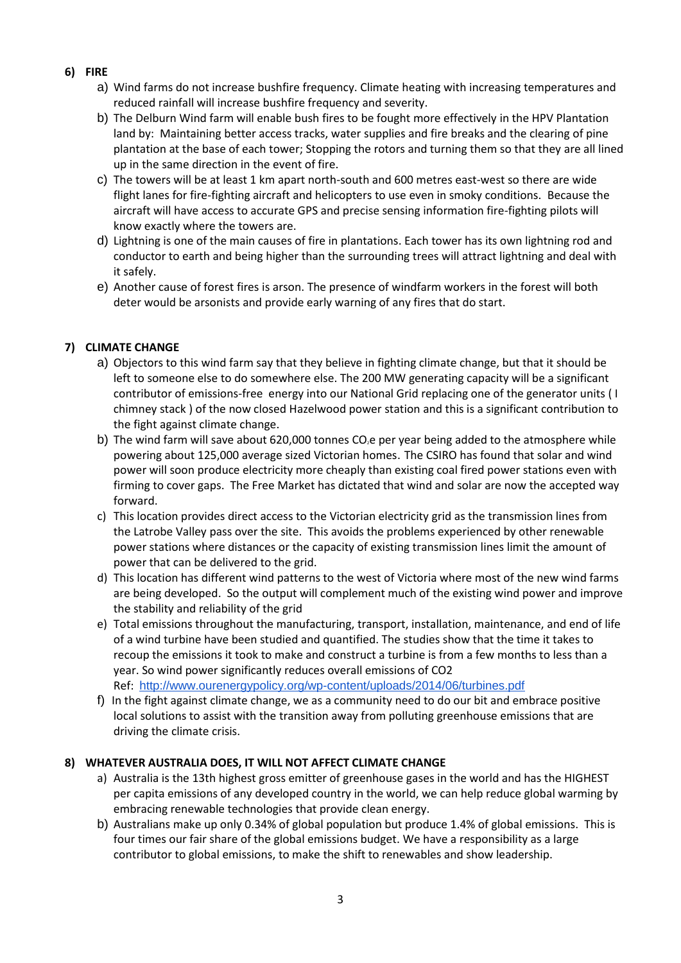- **6) FIRE**
	- a) Wind farms do not increase bushfire frequency. Climate heating with increasing temperatures and reduced rainfall will increase bushfire frequency and severity.
	- b) The Delburn Wind farm will enable bush fires to be fought more effectively in the HPV Plantation land by: Maintaining better access tracks, water supplies and fire breaks and the clearing of pine plantation at the base of each tower; Stopping the rotors and turning them so that they are all lined up in the same direction in the event of fire.
	- c) The towers will be at least 1 km apart north-south and 600 metres east-west so there are wide flight lanes for fire-fighting aircraft and helicopters to use even in smoky conditions. Because the aircraft will have access to accurate GPS and precise sensing information fire-fighting pilots will know exactly where the towers are.
	- d) Lightning is one of the main causes of fire in plantations. Each tower has its own lightning rod and conductor to earth and being higher than the surrounding trees will attract lightning and deal with it safely.
	- e) Another cause of forest fires is arson. The presence of windfarm workers in the forest will both deter would be arsonists and provide early warning of any fires that do start.

## **7) CLIMATE CHANGE**

- a) Objectors to this wind farm say that they believe in fighting climate change, but that it should be left to someone else to do somewhere else. The 200 MW generating capacity will be a significant contributor of emissions-free energy into our National Grid replacing one of the generator units ( I chimney stack ) of the now closed Hazelwood power station and this is a significant contribution to the fight against climate change.
- b) The wind farm will save about 620,000 tonnes  $CO<sub>2</sub>e$  per year being added to the atmosphere while powering about 125,000 average sized Victorian homes. The CSIRO has found that solar and wind power will soon produce electricity more cheaply than existing coal fired power stations even with firming to cover gaps. The Free Market has dictated that wind and solar are now the accepted way forward.
- c) This location provides direct access to the Victorian electricity grid as the transmission lines from the Latrobe Valley pass over the site. This avoids the problems experienced by other renewable power stations where distances or the capacity of existing transmission lines limit the amount of power that can be delivered to the grid.
- d) This location has different wind patterns to the west of Victoria where most of the new wind farms are being developed. So the output will complement much of the existing wind power and improve the stability and reliability of the grid
- e) Total emissions throughout the manufacturing, transport, installation, maintenance, and end of life of a wind turbine have been studied and quantified. The studies show that the time it takes to recoup the emissions it took to make and construct a turbine is from a few months to less than a year. So wind power significantly reduces overall emissions of CO2 Ref: <http://www.ourenergypolicy.org/wp-content/uploads/2014/06/turbines.pdf>
- f) In the fight against climate change, we as a community need to do our bit and embrace positive local solutions to assist with the transition away from polluting greenhouse emissions that are driving the climate crisis.

## **8) WHATEVER AUSTRALIA DOES, IT WILL NOT AFFECT CLIMATE CHANGE**

- a) Australia is the 13th highest gross emitter of greenhouse gases in the world and has the HIGHEST per capita emissions of any developed country in the world, we can help reduce global warming by embracing renewable technologies that provide clean energy.
- b) Australians make up only 0.34% of global population but produce 1.4% of global emissions. This is four times our fair share of the global emissions budget. We have a responsibility as a large contributor to global emissions, to make the shift to renewables and show leadership.